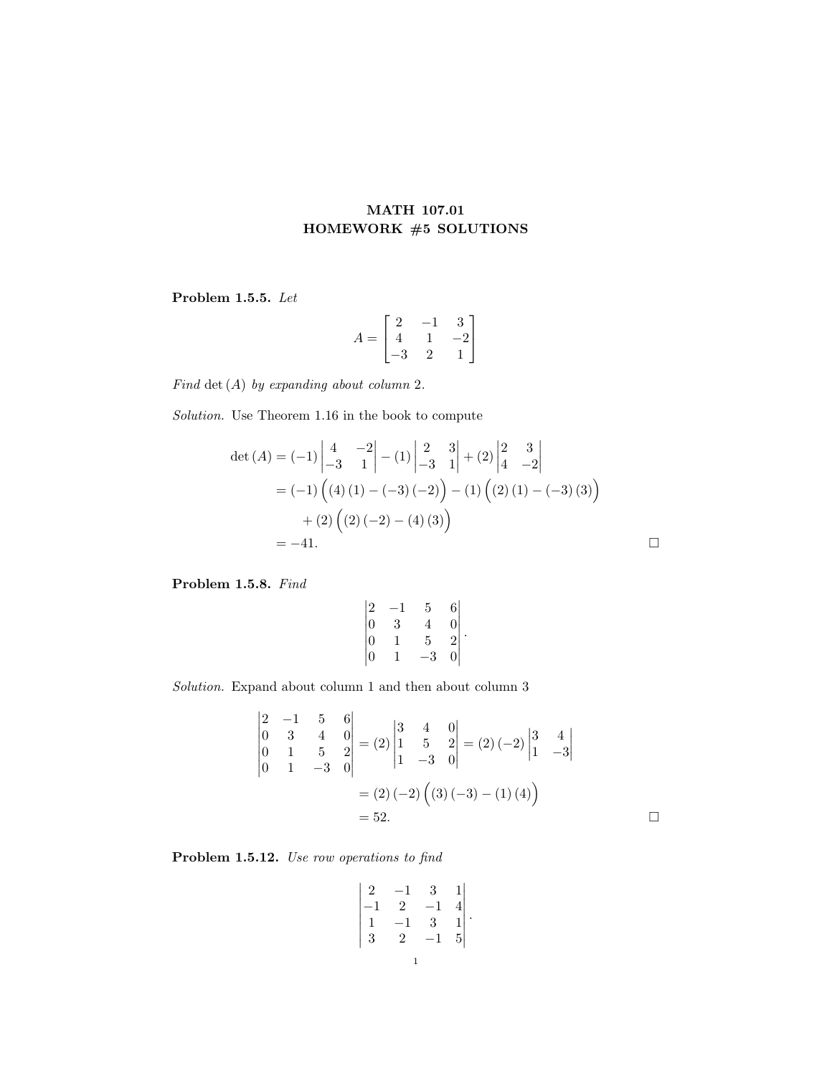## MATH 107.01 HOMEWORK #5 SOLUTIONS

Problem 1.5.5. Let

$$
A = \begin{bmatrix} 2 & -1 & 3 \\ 4 & 1 & -2 \\ -3 & 2 & 1 \end{bmatrix}
$$

Find det  $(A)$  by expanding about column 2.

Solution. Use Theorem 1.16 in the book to compute

$$
\det (A) = (-1) \begin{vmatrix} 4 & -2 \\ -3 & 1 \end{vmatrix} - (1) \begin{vmatrix} 2 & 3 \\ -3 & 1 \end{vmatrix} + (2) \begin{vmatrix} 2 & 3 \\ 4 & -2 \end{vmatrix}
$$
  
= (-1) ((4) (1) - (-3) (-2)) - (1) ((2) (1) - (-3) (3))  
+ (2) ((2) (-2) - (4) (3))  
= -41.

Problem 1.5.8. Find

$$
\begin{vmatrix} 2 & -1 & 5 & 6 \ 0 & 3 & 4 & 0 \ 0 & 1 & 5 & 2 \ 0 & 1 & -3 & 0 \ \end{vmatrix}.
$$

Solution. Expand about column 1 and then about column 3

$$
\begin{vmatrix} 2 & -1 & 5 & 6 \ 0 & 3 & 4 & 0 \ 0 & 1 & 5 & 2 \ 0 & 1 & -3 & 0 \ \end{vmatrix} = (2) \begin{vmatrix} 3 & 4 & 0 \ 1 & 5 & 2 \ 1 & -3 & 0 \ \end{vmatrix} = (2)(-2) \begin{vmatrix} 3 & 4 \ 1 & -3 \ \end{vmatrix}
$$

$$
= (2)(-2) ((3)(-3) - (1)(4))
$$

$$
= 52.
$$

Problem 1.5.12. Use row operations to find

$$
\begin{vmatrix}\n2 & -1 & 3 & 1 \\
-1 & 2 & -1 & 4 \\
1 & -1 & 3 & 1 \\
3 & 2 & -1 & 5\n\end{vmatrix}.
$$